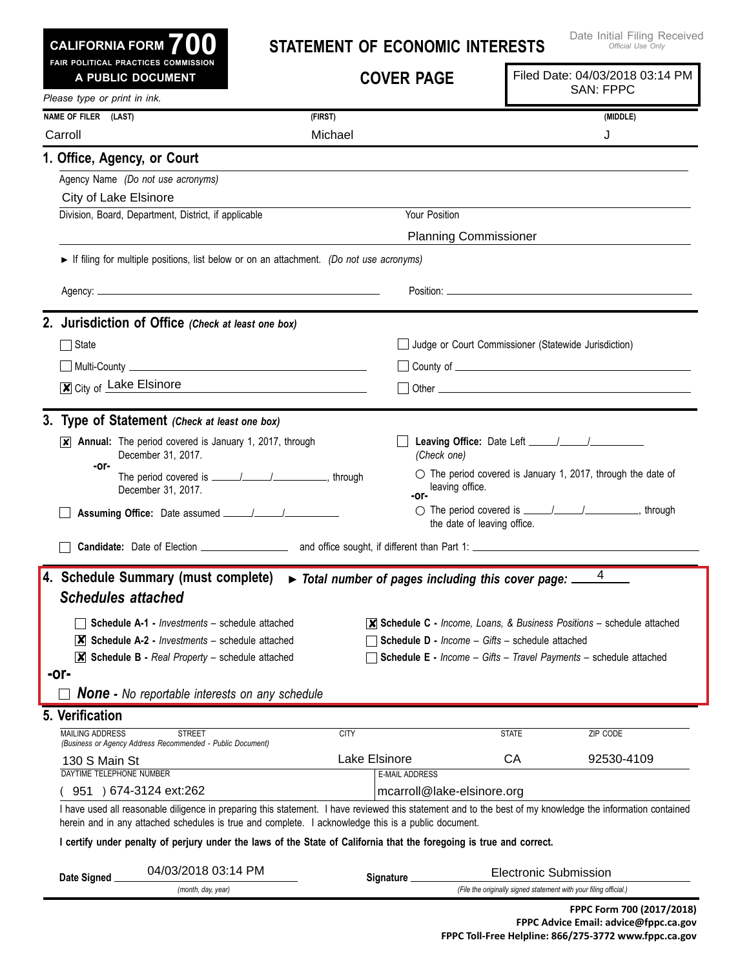| CALIFORNIA FORM $\bf{700}$          |  |
|-------------------------------------|--|
| FAIR POLITICAL PRACTICES COMMISSION |  |

## **Statement of Economic Interests**

|                              | A PUBLIC DOCUMENT                                                                                                                                                                    |               | <b>COVER PAGE</b>          |                                                                   | Filed Date: 04/03/2018 03:14 PM                                                              |
|------------------------------|--------------------------------------------------------------------------------------------------------------------------------------------------------------------------------------|---------------|----------------------------|-------------------------------------------------------------------|----------------------------------------------------------------------------------------------|
| Please type or print in ink. |                                                                                                                                                                                      |               |                            |                                                                   | <b>SAN: FPPC</b>                                                                             |
| NAME OF FILER (LAST)         |                                                                                                                                                                                      | (FIRST)       |                            |                                                                   | (MIDDLE)                                                                                     |
| Carroll                      |                                                                                                                                                                                      | Michael       |                            |                                                                   | J                                                                                            |
| 1. Office, Agency, or Court  |                                                                                                                                                                                      |               |                            |                                                                   |                                                                                              |
|                              | Agency Name (Do not use acronyms)                                                                                                                                                    |               |                            |                                                                   |                                                                                              |
| City of Lake Elsinore        |                                                                                                                                                                                      |               |                            |                                                                   |                                                                                              |
|                              | Division, Board, Department, District, if applicable                                                                                                                                 |               | Your Position              |                                                                   |                                                                                              |
|                              |                                                                                                                                                                                      |               |                            | <b>Planning Commissioner</b>                                      |                                                                                              |
|                              | If filing for multiple positions, list below or on an attachment. (Do not use acronyms)                                                                                              |               |                            |                                                                   |                                                                                              |
|                              |                                                                                                                                                                                      |               |                            |                                                                   |                                                                                              |
|                              | 2. Jurisdiction of Office (Check at least one box)                                                                                                                                   |               |                            |                                                                   |                                                                                              |
| $\Box$ State                 |                                                                                                                                                                                      |               |                            | Judge or Court Commissioner (Statewide Jurisdiction)              |                                                                                              |
|                              |                                                                                                                                                                                      |               |                            |                                                                   |                                                                                              |
|                              | The City of Lake Elsinore                                                                                                                                                            |               |                            |                                                                   |                                                                                              |
|                              | 3. Type of Statement (Check at least one box)                                                                                                                                        |               |                            |                                                                   |                                                                                              |
|                              | $\overline{\mathsf{x}}$ Annual: The period covered is January 1, 2017, through<br>December 31, 2017.                                                                                 |               | (Check one)                |                                                                   |                                                                                              |
| -or-                         | December 31, 2017.                                                                                                                                                                   |               | leaving office.<br>-or-    |                                                                   | $\circlearrowright$ The period covered is January 1, 2017, through the date of               |
|                              |                                                                                                                                                                                      |               |                            | the date of leaving office.                                       |                                                                                              |
|                              |                                                                                                                                                                                      |               |                            |                                                                   |                                                                                              |
| <b>Schedules attached</b>    | 4. Schedule Summary (must complete)                                                                                                                                                  |               |                            | Total number of pages including this cover page: __               | 4                                                                                            |
|                              | <b>Schedule A-1 -</b> <i>Investments</i> – schedule attached                                                                                                                         |               |                            |                                                                   | $\overline{\mathsf{x}}$ Schedule C - Income, Loans, & Business Positions – schedule attached |
|                              | $\overline{\mathsf{x}}$ Schedule A-2 - <i>Investments</i> – schedule attached                                                                                                        |               |                            | <b>Schedule D - Income - Gifts - schedule attached</b>            |                                                                                              |
|                              | $\mathbf{X}$ Schedule B - Real Property – schedule attached                                                                                                                          |               |                            |                                                                   | <b>Schedule E</b> - Income - Gifts - Travel Payments - schedule attached                     |
| -or-                         |                                                                                                                                                                                      |               |                            |                                                                   |                                                                                              |
|                              | <b>None</b> - No reportable interests on any schedule                                                                                                                                |               |                            |                                                                   |                                                                                              |
| 5. Verification              |                                                                                                                                                                                      |               |                            |                                                                   |                                                                                              |
| <b>MAILING ADDRESS</b>       | <b>STREET</b><br>(Business or Agency Address Recommended - Public Document)                                                                                                          | <b>CITY</b>   |                            | <b>STATE</b>                                                      | ZIP CODE                                                                                     |
| 130 S Main St                |                                                                                                                                                                                      | Lake Elsinore |                            | CA                                                                | 92530-4109                                                                                   |
| DAYTIME TELEPHONE NUMBER     |                                                                                                                                                                                      |               | <b>E-MAIL ADDRESS</b>      |                                                                   |                                                                                              |
|                              | 951 ) 674-3124 ext:262<br>I have used all reasonable diligence in preparing this statement. I have reviewed this statement and to the best of my knowledge the information contained |               | mcarroll@lake-elsinore.org |                                                                   |                                                                                              |
|                              | herein and in any attached schedules is true and complete. I acknowledge this is a public document.                                                                                  |               |                            |                                                                   |                                                                                              |
|                              | I certify under penalty of perjury under the laws of the State of California that the foregoing is true and correct.                                                                 |               |                            |                                                                   |                                                                                              |
| Date Signed                  | 04/03/2018 03:14 PM                                                                                                                                                                  |               | Signature                  |                                                                   | <b>Electronic Submission</b>                                                                 |
|                              | (month, day, year)                                                                                                                                                                   |               |                            | (File the originally signed statement with your filing official.) |                                                                                              |
|                              |                                                                                                                                                                                      |               |                            |                                                                   | FPPC Form 700 (2017/2018)                                                                    |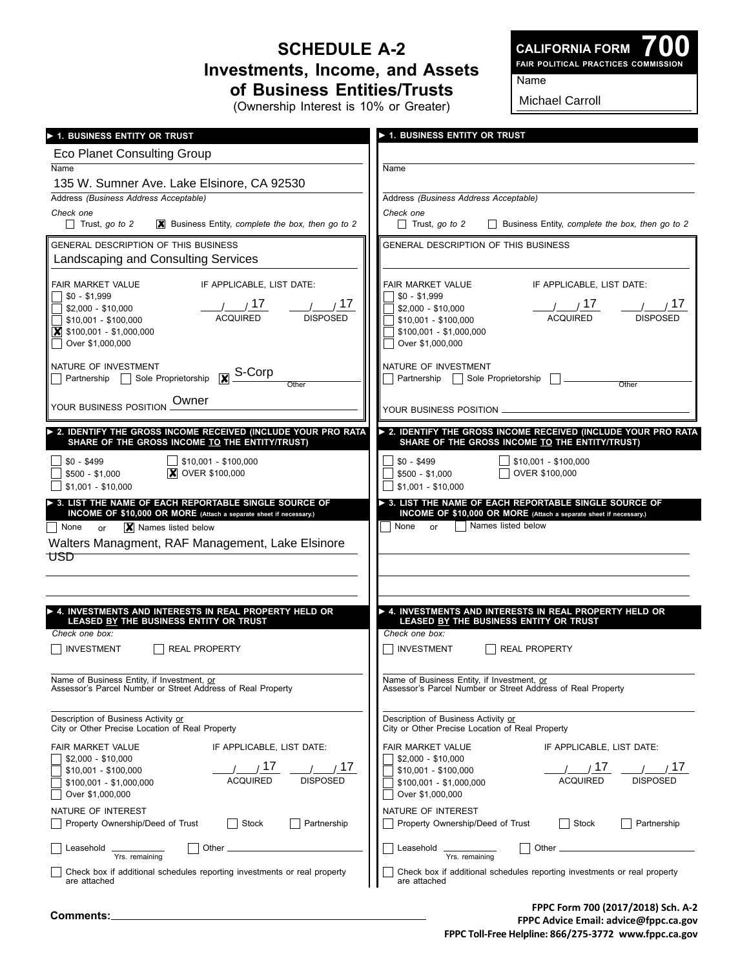## **Schedule A-2 Investments, Income, and Assets of Business Entities/Trusts** (Ownership Interest is 10% or Greater)

**700 Fair Political Practices Commission CALIFORNIA FORM**

Name

Michael Carroll

| 1. BUSINESS ENTITY OR TRUST                                                                                       | 1. BUSINESS ENTITY OR TRUST                                                                            |  |
|-------------------------------------------------------------------------------------------------------------------|--------------------------------------------------------------------------------------------------------|--|
| <b>Eco Planet Consulting Group</b>                                                                                |                                                                                                        |  |
| Name                                                                                                              | Name                                                                                                   |  |
| 135 W. Sumner Ave. Lake Elsinore, CA 92530                                                                        |                                                                                                        |  |
| Address (Business Address Acceptable)                                                                             | Address (Business Address Acceptable)                                                                  |  |
| Check one                                                                                                         | Check one                                                                                              |  |
| $\mathbf{\Sigma}$ Business Entity, complete the box, then go to 2<br>$\Box$ Trust, go to 2                        | $\Box$ Trust, go to 2<br>Business Entity, complete the box, then go to 2                               |  |
| <b>GENERAL DESCRIPTION OF THIS BUSINESS</b>                                                                       | GENERAL DESCRIPTION OF THIS BUSINESS                                                                   |  |
| Landscaping and Consulting Services                                                                               |                                                                                                        |  |
| IF APPLICABLE, LIST DATE:<br>FAIR MARKET VALUE                                                                    | IF APPLICABLE, LIST DATE:<br>FAIR MARKET VALUE                                                         |  |
| $$0 - $1,999$<br>1/11<br>$\frac{1}{2}$ 17                                                                         | $$0 - $1,999$<br>1/17<br>1/                                                                            |  |
| $$2,000 - $10,000$<br><b>ACQUIRED</b><br><b>DISPOSED</b><br>$$10,001 - $100,000$                                  | $$2,000 - $10,000$<br><b>ACQUIRED</b><br><b>DISPOSED</b><br>$$10,001 - $100,000$                       |  |
| $\vert$ \$100,001 - \$1,000,000                                                                                   | $$100,001 - $1,000,000$                                                                                |  |
| Over \$1,000,000                                                                                                  | Over \$1,000,000                                                                                       |  |
| NATURE OF INVESTMENT                                                                                              | NATURE OF INVESTMENT                                                                                   |  |
| Partnership Sole Proprietorship <b>X</b> S-Corp<br>Other                                                          | Partnership   Sole Proprietorship<br>Other                                                             |  |
| Owner<br>YOUR BUSINESS POSITION                                                                                   |                                                                                                        |  |
|                                                                                                                   | YOUR BUSINESS POSITION _                                                                               |  |
| 2. IDENTIFY THE GROSS INCOME RECEIVED (INCLUDE YOUR PRO RATA<br>SHARE OF THE GROSS INCOME TO THE ENTITY/TRUST)    | > 2. IDENTIFY THE GROSS INCOME RECEIVED (INCLUDE YOUR PRO RATA                                         |  |
|                                                                                                                   | SHARE OF THE GROSS INCOME TO THE ENTITY/TRUST)                                                         |  |
| $\sqrt{$10,001 - $100,000}$<br>$$0 - $499$<br><b>X</b> OVER \$100,000<br>$$500 - $1,000$                          | $$0 - $499$<br>$\frac{1}{2}$ \$10,001 - \$100,000<br>OVER \$100,000<br>$$500 - $1,000$                 |  |
| $$1,001 - $10,000$                                                                                                | $$1,001 - $10,000$                                                                                     |  |
| $\triangleright$ 3. LIST THE NAME OF EACH REPORTABLE SINGLE SOURCE OF                                             | > 3. LIST THE NAME OF EACH REPORTABLE SINGLE SOURCE OF                                                 |  |
| INCOME OF \$10,000 OR MORE (Attach a separate sheet if necessary.)<br><b>X</b> Names listed below<br>  None<br>or | INCOME OF \$10,000 OR MORE (Attach a separate sheet if necessary.)<br>Names listed below<br>None<br>or |  |
| Walters Managment, RAF Management, Lake Elsinore                                                                  |                                                                                                        |  |
| USD                                                                                                               |                                                                                                        |  |
|                                                                                                                   |                                                                                                        |  |
|                                                                                                                   |                                                                                                        |  |
| $\blacktriangleright$ 4. INVESTMENTS AND INTERESTS IN REAL PROPERTY HELD OR                                       | ▶ 4. INVESTMENTS AND INTERESTS IN REAL PROPERTY HELD OR                                                |  |
| LEASED BY THE BUSINESS ENTITY OR TRUST<br>Check one box:                                                          | LEASED BY THE BUSINESS ENTITY OR TRUST<br>Check one box:                                               |  |
| INVESTMENT<br><b>REAL PROPERTY</b>                                                                                | INVESTMENT<br><b>REAL PROPERTY</b>                                                                     |  |
|                                                                                                                   |                                                                                                        |  |
| Name of Business Entity, if Investment, or                                                                        | Name of Business Entity, if Investment, or                                                             |  |
| Assessor's Parcel Number or Street Address of Real Property                                                       | Assessor's Parcel Number or Street Address of Real Property                                            |  |
|                                                                                                                   |                                                                                                        |  |
| Description of Business Activity or<br>City or Other Precise Location of Real Property                            | Description of Business Activity or<br>City or Other Precise Location of Real Property                 |  |
| FAIR MARKET VALUE<br>IF APPLICABLE, LIST DATE:                                                                    | FAIR MARKET VALUE<br>IF APPLICABLE, LIST DATE:                                                         |  |
| $$2,000 - $10,000$<br>17<br>1/                                                                                    | $$2,000 - $10,000$<br>17 /<br>11 <sup>1</sup>                                                          |  |
| \$10.001 - \$100.000<br><b>ACQUIRED</b><br><b>DISPOSED</b><br>$$100,001 - $1,000,000$                             | $$10,001 - $100,000$<br><b>ACQUIRED</b><br><b>DISPOSED</b><br>$$100,001 - $1,000,000$                  |  |
| Over \$1,000,000                                                                                                  | Over \$1,000,000                                                                                       |  |
| NATURE OF INTEREST                                                                                                | NATURE OF INTEREST                                                                                     |  |
| Property Ownership/Deed of Trust<br>Stock<br>Partnership                                                          | Property Ownership/Deed of Trust<br>Stock<br>Partnership                                               |  |
| Other _<br>Leasehold<br>Yrs. remaining                                                                            | Leasehold<br>Other _<br>Yrs. remaining                                                                 |  |
| Check box if additional schedules reporting investments or real property                                          | Check box if additional schedules reporting investments or real property                               |  |
| are attached                                                                                                      | are attached                                                                                           |  |
|                                                                                                                   |                                                                                                        |  |

**Comments:**

**FPPC Form 700 (2017/2018) Sch. A-2 FPPC Advice Email: advice@fppc.ca.gov FPPC Toll-Free Helpline: 866/275-3772 www.fppc.ca.gov**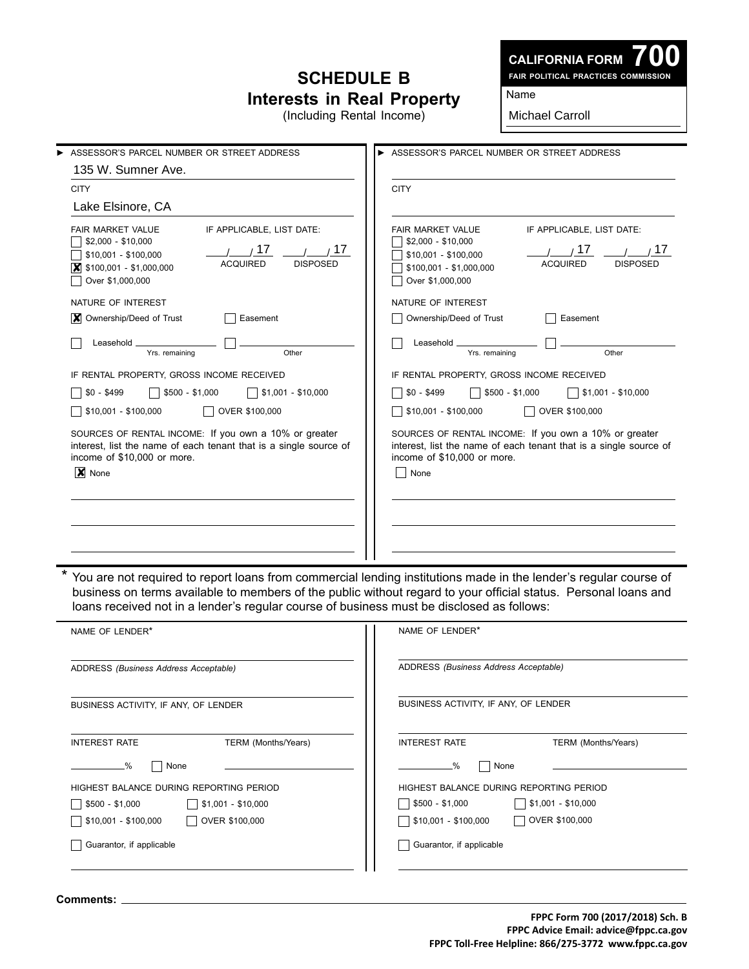## **Schedule B Interests in Real Property**

(Including Rental Income)

**CALIFORNIA FORM**

**700 Fair Political Practices Commission**

Name

Michael Carroll

| ASSESSOR'S PARCEL NUMBER OR STREET ADDRESS                                                                                                                                                                                | ASSESSOR'S PARCEL NUMBER OR STREET ADDRESS                                                                                                                                                    |  |  |
|---------------------------------------------------------------------------------------------------------------------------------------------------------------------------------------------------------------------------|-----------------------------------------------------------------------------------------------------------------------------------------------------------------------------------------------|--|--|
| 135 W. Sumner Ave.                                                                                                                                                                                                        |                                                                                                                                                                                               |  |  |
| <b>CITY</b>                                                                                                                                                                                                               | <b>CITY</b>                                                                                                                                                                                   |  |  |
| Lake Elsinore, CA                                                                                                                                                                                                         |                                                                                                                                                                                               |  |  |
| IF APPLICABLE, LIST DATE:<br><b>FAIR MARKET VALUE</b><br>$$2,000 - $10,000$<br>17<br>17<br>\$10,001 - \$100,000<br><b>ACQUIRED</b><br><b>DISPOSED</b><br>$\boxed{\mathbf{X}}$ \$100,001 - \$1,000,000<br>Over \$1,000,000 | IF APPLICABLE, LIST DATE:<br>FAIR MARKET VALUE<br>$$2,000 - $10,000$<br>17<br>17<br>\$10,001 - \$100,000<br><b>ACQUIRED</b><br><b>DISPOSED</b><br>\$100,001 - \$1,000,000<br>Over \$1,000,000 |  |  |
| NATURE OF INTEREST                                                                                                                                                                                                        | NATURE OF INTEREST                                                                                                                                                                            |  |  |
| <b>X</b> Ownership/Deed of Trust<br>Easement                                                                                                                                                                              | Ownership/Deed of Trust<br>Easement                                                                                                                                                           |  |  |
| Leasehold _<br>Yrs. remaining<br>Other                                                                                                                                                                                    | Leasehold _<br>Yrs. remaining<br>Other                                                                                                                                                        |  |  |
| IF RENTAL PROPERTY, GROSS INCOME RECEIVED                                                                                                                                                                                 | IF RENTAL PROPERTY, GROSS INCOME RECEIVED                                                                                                                                                     |  |  |
| $$1,001 - $10,000$<br>$$0 - $499$<br>$$500 - $1,000$                                                                                                                                                                      | $$500 - $1,000$<br>$\sqrt{51,001}$ - \$10,000<br>$$0 - $499$                                                                                                                                  |  |  |
| \$10,001 - \$100,000<br>OVER \$100,000                                                                                                                                                                                    | \$10,001 - \$100,000<br>OVER \$100,000                                                                                                                                                        |  |  |
| SOURCES OF RENTAL INCOME: If you own a 10% or greater<br>interest, list the name of each tenant that is a single source of<br>income of \$10,000 or more.<br>X None                                                       | SOURCES OF RENTAL INCOME: If you own a 10% or greater<br>interest, list the name of each tenant that is a single source of<br>income of \$10,000 or more.<br>None                             |  |  |
|                                                                                                                                                                                                                           |                                                                                                                                                                                               |  |  |

business on terms available to members of the public without regard to your official status. Personal loans and loans received not in a lender's regular course of business must be disclosed as follows:

| NAME OF LENDER*                                         | NAME OF LENDER*                                        |  |
|---------------------------------------------------------|--------------------------------------------------------|--|
| ADDRESS (Business Address Acceptable)                   | ADDRESS (Business Address Acceptable)                  |  |
| BUSINESS ACTIVITY, IF ANY, OF LENDER                    | BUSINESS ACTIVITY, IF ANY, OF LENDER                   |  |
| TERM (Months/Years)<br><b>INTEREST RATE</b>             | <b>INTEREST RATE</b><br>TERM (Months/Years)            |  |
| $\frac{9}{6}$<br>None                                   | None<br>$\frac{0}{0}$                                  |  |
| HIGHEST BALANCE DURING REPORTING PERIOD                 | HIGHEST BALANCE DURING REPORTING PERIOD                |  |
| $\vert$ \$500 - \$1,000<br>$\vert$   \$1,001 - \$10,000 | \$500 - \$1,000<br>$$1,001 - $10,000$                  |  |
| OVER \$100,000<br>$\sqrt{15,0001}$ - \$100,000          | \$10,001 - \$100,000<br>OVER \$100,000<br>$\mathbf{I}$ |  |
| Guarantor, if applicable                                | Guarantor, if applicable                               |  |

**Comments:**